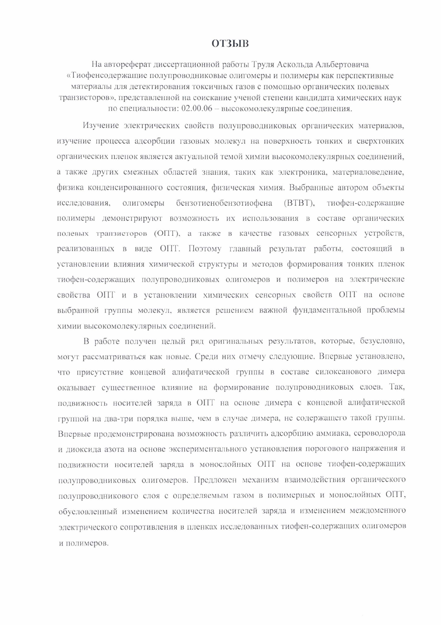## **ОТЗЫВ**

На автореферат диссертационной работы Труля Аскольда Альбертовича «Тиофенсодержащие полупроводниковые олигомеры и полимеры как перспективные материалы для детектирования токсичных газов с помощью органических полевых транзисторов», представленной на соискание ученой степени кандидата химических наук по специальности: 02.00.06 - высокомолекулярные соединения.

Изучение электрических свойств полупроводниковых органических материалов, изучение процесса адсорбции газовых молекул на поверхность тонких и сверхтонких органических пленок является актуальной темой химии высокомолекулярных соединений, а также других смежных областей знания, таких как электроника, материаловедение, физика конденсированного состояния, физическая химия. Выбранные автором объекты бензотиенобензотиофена (ВТВТ), тиофен-содержащие исследования. олигомеры полимеры демонстрируют возможность их использования в составе органических полевых транзисторов (ОПТ), а также в качестве газовых сенсорных устройств, реализованных в виде ОПТ. Поэтому главный результат работы, состоящий в установлении влияния химической структуры и методов формирования тонких пленок тиофен-содержащих полупроводниковых олигомеров и полимеров на электрические свойства ОПТ и в установлении химических сенсорных свойств ОПТ на основе выбранной группы молекул, является решением важной фундаментальной проблемы химии высокомолекулярных соединений.

В работе получен целый ряд оригинальных результатов, которые, безусловно, могут рассматриваться как новые. Среди них отмечу следующие. Впервые установлено, что присутствие концевой алифатической группы в составе силоксанового димера оказывает существенное влияние на формирование полупроводниковых слоев. Так, подвижность носителей заряда в ОПТ на основе димера с концевой алифатической группой на два-три порядка выше, чем в случае димера, не содержащего такой группы. Впервые продемонстрирована возможность различить адсорбцию аммиака, сероводорода и диоксида азота на основе экспериментального установления порогового напряжения и подвижности носителей заряда в монослойных ОПТ на основе тиофен-содержащих полупроводниковых олигомеров. Предложен механизм взаимодействия органического полупроводникового слоя с определяемым газом в полимерных и монослойных ОПТ, обусловленный изменением количества носителей заряда и изменением междоменного электрического сопротивления в пленках исследованных тиофен-содержащих олигомеров и полимеров.